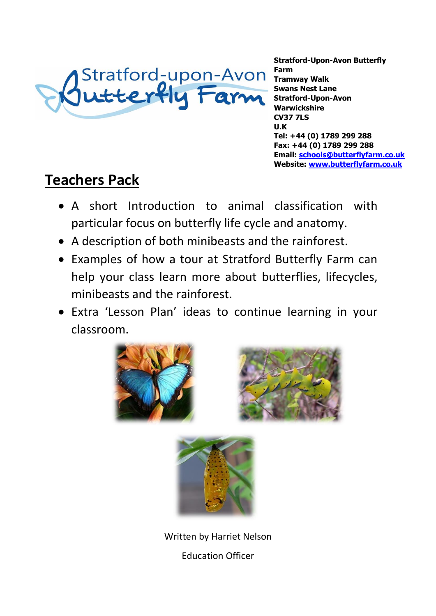

**Stratford-Upon-Avon Butterfly Farm Tramway Walk Swans Nest Lane Stratford-Upon-Avon Warwickshire CV37 7LS U.K Tel: +44 (0) 1789 299 288 Fax: +44 (0) 1789 299 288 Email: [schools@butterflyfarm.co.uk](mailto:schools@butterflyfarm.co.uk) Website: [www.butterflyfarm.co.uk](file:///C:/Users/Butterfly%20Farm/Documents/www.butterflyfarm.co.uk)**

# **Teachers Pack**

- A short Introduction to animal classification with particular focus on butterfly life cycle and anatomy.
- A description of both minibeasts and the rainforest.
- Examples of how a tour at Stratford Butterfly Farm can help your class learn more about butterflies, lifecycles, minibeasts and the rainforest.
- Extra 'Lesson Plan' ideas to continue learning in your classroom.







Written by Harriet Nelson Education Officer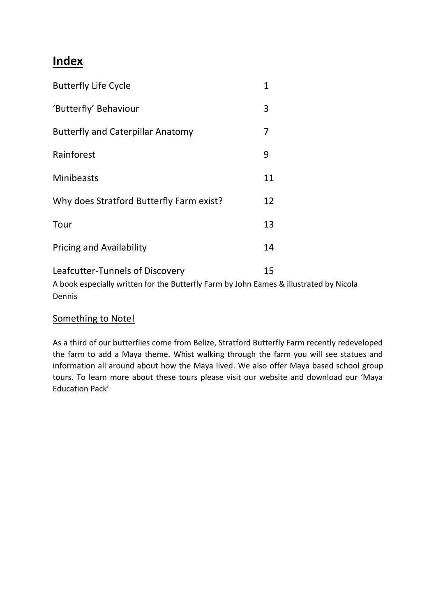## **Index**

| <b>Butterfly Life Cycle</b>                                                                                                         | $\overline{1}$ |
|-------------------------------------------------------------------------------------------------------------------------------------|----------------|
| 'Butterfly' Behaviour                                                                                                               | 3              |
| <b>Butterfly and Caterpillar Anatomy</b>                                                                                            | 7              |
| Rainforest                                                                                                                          | 9              |
| <b>Minibeasts</b>                                                                                                                   | 11             |
| Why does Stratford Butterfly Farm exist?                                                                                            | 12             |
| Tour                                                                                                                                | 13             |
| <b>Pricing and Availability</b>                                                                                                     | 14             |
| Leafcutter-Tunnels of Discovery<br>A book especially written for the Butterfly Farm by John Eames & illustrated by Nicola<br>Dennis | 15             |

## Something to Note!

As a third of our butterflies come from Belize, Stratford Butterfly Farm recently redeveloped the farm to add a Maya theme. Whist walking through the farm you will see statues and information all around about how the Maya lived. We also offer Maya based school group tours. To learn more about these tours please visit our website and download our 'Maya Education Pack'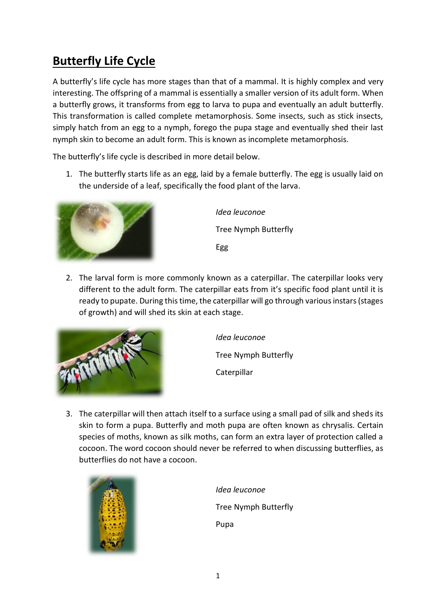## **Butterfly Life Cycle**

A butterfly's life cycle has more stages than that of a mammal. It is highly complex and very interesting. The offspring of a mammal is essentially a smaller version of its adult form. When a butterfly grows, it transforms from egg to larva to pupa and eventually an adult butterfly. This transformation is called complete metamorphosis. Some insects, such as stick insects, simply hatch from an egg to a nymph, forego the pupa stage and eventually shed their last nymph skin to become an adult form. This is known as incomplete metamorphosis.

The butterfly's life cycle is described in more detail below.

1. The butterfly starts life as an egg, laid by a female butterfly. The egg is usually laid on the underside of a leaf, specifically the food plant of the larva.



*Idea leuconoe* Tree Nymph Butterfly Egg

2. The larval form is more commonly known as a caterpillar. The caterpillar looks very different to the adult form. The caterpillar eats from it's specific food plant until it is ready to pupate. During this time, the caterpillar will go through various instars (stages of growth) and will shed its skin at each stage.



*Idea leuconoe*

Tree Nymph Butterfly

Caterpillar

3. The caterpillar will then attach itself to a surface using a small pad of silk and sheds its skin to form a pupa. Butterfly and moth pupa are often known as chrysalis. Certain species of moths, known as silk moths, can form an extra layer of protection called a cocoon. The word cocoon should never be referred to when discussing butterflies, as butterflies do not have a cocoon.



*Idea leuconoe* Tree Nymph Butterfly Pupa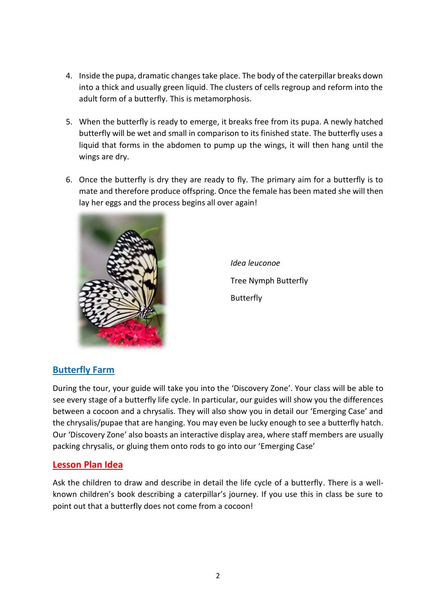- 4. Inside the pupa, dramatic changes take place. The body of the caterpillar breaks down into a thick and usually green liquid. The clusters of cells regroup and reform into the adult form of a butterfly. This is metamorphosis.
- 5. When the butterfly is ready to emerge, it breaks free from its pupa. A newly hatched butterfly will be wet and small in comparison to its finished state. The butterfly uses a liquid that forms in the abdomen to pump up the wings, it will then hang until the wings are dry.
- 6. Once the butterfly is dry they are ready to fly. The primary aim for a butterfly is to mate and therefore produce offspring. Once the female has been mated she will then lay her eggs and the process begins all over again!



*Idea leuconoe* Tree Nymph Butterfly Butterfly

## **Butterfly Farm**

During the tour, your guide will take you into the 'Discovery Zone'. Your class will be able to see every stage of a butterfly life cycle. In particular, our guides will show you the differences between a cocoon and a chrysalis. They will also show you in detail our 'Emerging Case' and the chrysalis/pupae that are hanging. You may even be lucky enough to see a butterfly hatch. Our 'Discovery Zone' also boasts an interactive display area, where staff members are usually packing chrysalis, or gluing them onto rods to go into our 'Emerging Case'

### **Lesson Plan Idea**

Ask the children to draw and describe in detail the life cycle of a butterfly. There is a wellknown children's book describing a caterpillar's journey. If you use this in class be sure to point out that a butterfly does not come from a cocoon!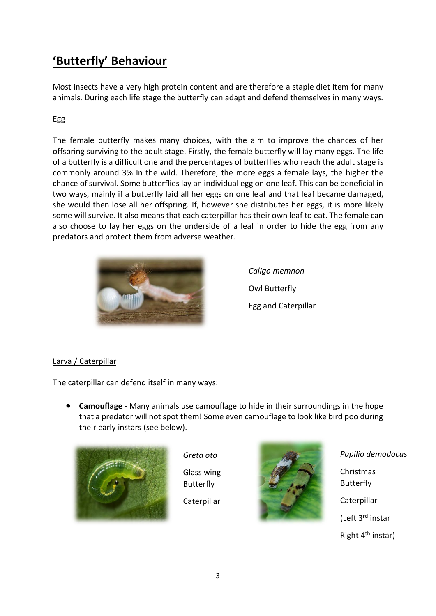## **'Butterfly' Behaviour**

Most insects have a very high protein content and are therefore a staple diet item for many animals. During each life stage the butterfly can adapt and defend themselves in many ways.

### Egg

The female butterfly makes many choices, with the aim to improve the chances of her offspring surviving to the adult stage. Firstly, the female butterfly will lay many eggs. The life of a butterfly is a difficult one and the percentages of butterflies who reach the adult stage is commonly around 3% In the wild. Therefore, the more eggs a female lays, the higher the chance of survival. Some butterflies lay an individual egg on one leaf. This can be beneficial in two ways, mainly if a butterfly laid all her eggs on one leaf and that leaf became damaged, she would then lose all her offspring. If, however she distributes her eggs, it is more likely some will survive. It also means that each caterpillar has their own leaf to eat. The female can also choose to lay her eggs on the underside of a leaf in order to hide the egg from any predators and protect them from adverse weather.



*Caligo memnon* Owl Butterfly Egg and Caterpillar

### Larva / Caterpillar

The caterpillar can defend itself in many ways:

• **Camouflage** - Many animals use camouflage to hide in their surroundings in the hope that a predator will not spot them! Some even camouflage to look like bird poo during their early instars (see below).



*Greta oto*  Glass wing

**Butterfly Caterpillar** 



*Papilio demodocus*

Christmas Butterfly **Caterpillar** 

(Left 3rd instar

Right 4<sup>th</sup> instar)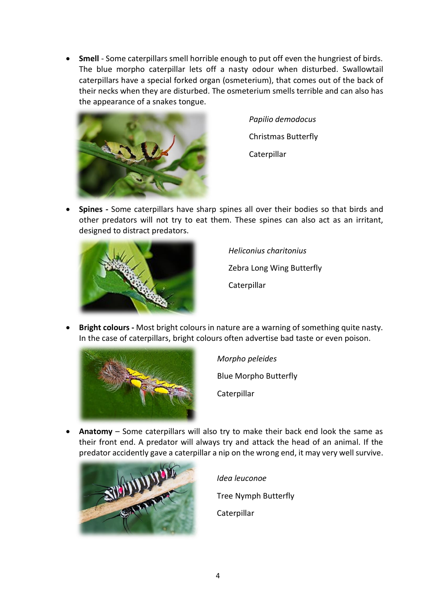• **Smell** - Some caterpillars smell horrible enough to put off even the hungriest of birds. The blue morpho caterpillar lets off a nasty odour when disturbed. Swallowtail caterpillars have a special forked organ (osmeterium), that comes out of the back of their necks when they are disturbed. The osmeterium smells terrible and can also has the appearance of a snakes tongue.



*Papilio demodocus* Christmas Butterfly Caterpillar

• **Spines -** Some caterpillars have sharp spines all over their bodies so that birds and other predators will not try to eat them. These spines can also act as an irritant, designed to distract predators.



*Heliconius charitonius* Zebra Long Wing Butterfly **Caterpillar** 

• **Bright colours -** Most bright colours in nature are a warning of something quite nasty. In the case of caterpillars, bright colours often advertise bad taste or even poison.



*Morpho peleides*  Blue Morpho Butterfly **Caterpillar** 

• **Anatomy** – Some caterpillars will also try to make their back end look the same as their front end. A predator will always try and attack the head of an animal. If the predator accidently gave a caterpillar a nip on the wrong end, it may very well survive.



*Idea leuconoe* Tree Nymph Butterfly Caterpillar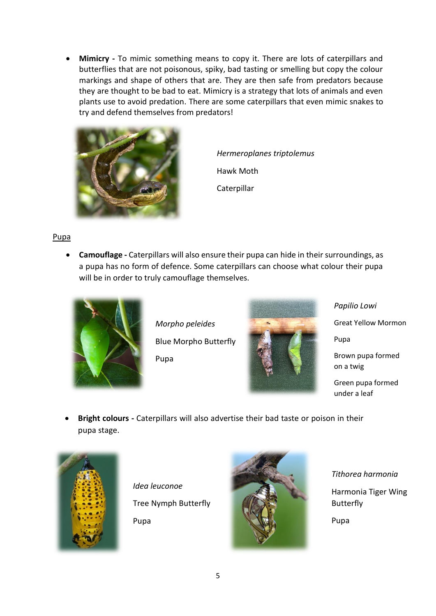• **Mimicry -** To mimic something means to copy it. There are lots of caterpillars and butterflies that are not poisonous, spiky, bad tasting or smelling but copy the colour markings and shape of others that are. They are then safe from predators because they are thought to be bad to eat. Mimicry is a strategy that lots of animals and even plants use to avoid predation. There are some caterpillars that even mimic snakes to try and defend themselves from predators!



*Hermeroplanes triptolemus* Hawk Moth **Caterpillar** 

Pupa

• **Camouflage -** Caterpillars will also ensure their pupa can hide in their surroundings, as a pupa has no form of defence. Some caterpillars can choose what colour their pupa will be in order to truly camouflage themselves.



*Morpho peleides* Blue Morpho Butterfly Pupa



*Papilio Lowi* Great Yellow Mormon Pupa Brown pupa formed on a twig Green pupa formed under a leaf

• **Bright colours -** Caterpillars will also advertise their bad taste or poison in their pupa stage.



*Idea leuconoe* Tree Nymph Butterfly

Pupa



*Tithorea harmonia* Harmonia Tiger Wing Butterfly Pupa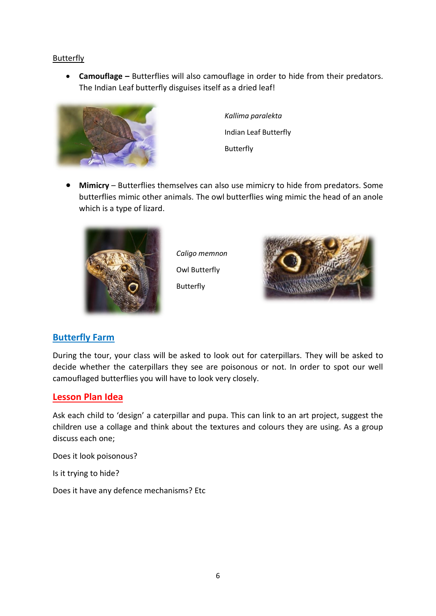#### **Butterfly**

• **Camouflage –** Butterflies will also camouflage in order to hide from their predators. The Indian Leaf butterfly disguises itself as a dried leaf!



*Kallima paralekta* Indian Leaf Butterfly Butterfly

• **Mimicry** – Butterflies themselves can also use mimicry to hide from predators. Some butterflies mimic other animals. The owl butterflies wing mimic the head of an anole which is a type of lizard.



*Caligo memnon* Owl Butterfly Butterfly



### **Butterfly Farm**

During the tour, your class will be asked to look out for caterpillars. They will be asked to decide whether the caterpillars they see are poisonous or not. In order to spot our well camouflaged butterflies you will have to look very closely.

### **Lesson Plan Idea**

Ask each child to 'design' a caterpillar and pupa. This can link to an art project, suggest the children use a collage and think about the textures and colours they are using. As a group discuss each one;

Does it look poisonous?

Is it trying to hide?

Does it have any defence mechanisms? Etc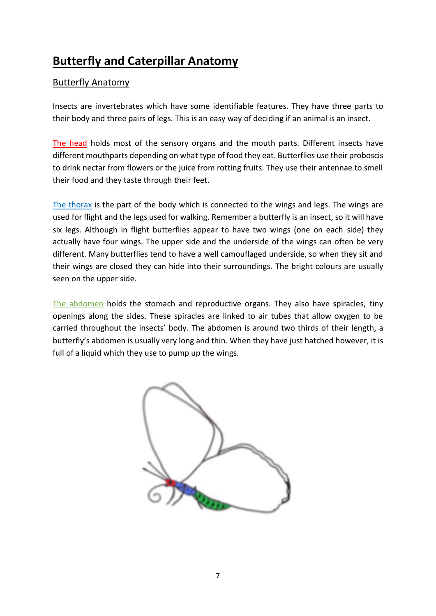## **Butterfly and Caterpillar Anatomy**

## Butterfly Anatomy

Insects are invertebrates which have some identifiable features. They have three parts to their body and three pairs of legs. This is an easy way of deciding if an animal is an insect.

The head holds most of the sensory organs and the mouth parts. Different insects have different mouthparts depending on what type of food they eat. Butterflies use their proboscis to drink nectar from flowers or the juice from rotting fruits. They use their antennae to smell their food and they taste through their feet.

The thorax is the part of the body which is connected to the wings and legs. The wings are used for flight and the legs used for walking. Remember a butterfly is an insect, so it will have six legs. Although in flight butterflies appear to have two wings (one on each side) they actually have four wings. The upper side and the underside of the wings can often be very different. Many butterflies tend to have a well camouflaged underside, so when they sit and their wings are closed they can hide into their surroundings. The bright colours are usually seen on the upper side.

The abdomen holds the stomach and reproductive organs. They also have spiracles, tiny openings along the sides. These spiracles are linked to air tubes that allow oxygen to be carried throughout the insects' body. The abdomen is around two thirds of their length, a butterfly's abdomen is usually very long and thin. When they have just hatched however, it is full of a liquid which they use to pump up the wings.

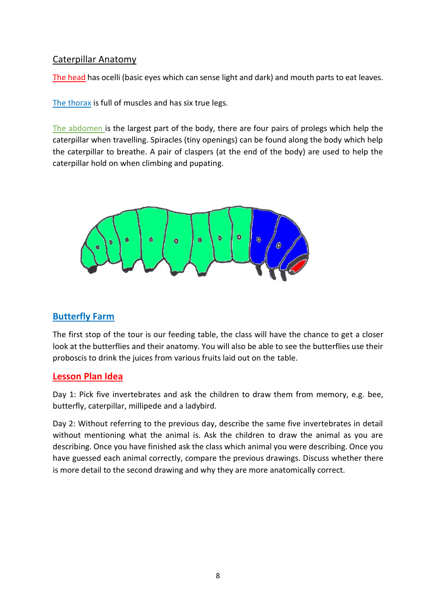### Caterpillar Anatomy

The head has ocelli (basic eyes which can sense light and dark) and mouth parts to eat leaves.

The thorax is full of muscles and has six true legs.

The abdomen is the largest part of the body, there are four pairs of prolegs which help the caterpillar when travelling. Spiracles (tiny openings) can be found along the body which help the caterpillar to breathe. A pair of claspers (at the end of the body) are used to help the caterpillar hold on when climbing and pupating.



## **Butterfly Farm**

The first stop of the tour is our feeding table, the class will have the chance to get a closer look at the butterflies and their anatomy. You will also be able to see the butterflies use their proboscis to drink the juices from various fruits laid out on the table.

### **Lesson Plan Idea**

Day 1: Pick five invertebrates and ask the children to draw them from memory, e.g. bee, butterfly, caterpillar, millipede and a ladybird.

Day 2: Without referring to the previous day, describe the same five invertebrates in detail without mentioning what the animal is. Ask the children to draw the animal as you are describing. Once you have finished ask the class which animal you were describing. Once you have guessed each animal correctly, compare the previous drawings. Discuss whether there is more detail to the second drawing and why they are more anatomically correct.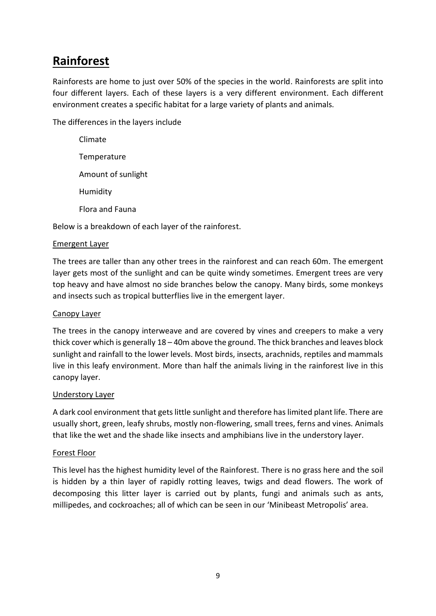## **Rainforest**

Rainforests are home to just over 50% of the species in the world. Rainforests are split into four different layers. Each of these layers is a very different environment. Each different environment creates a specific habitat for a large variety of plants and animals.

The differences in the layers include

| Climate                |
|------------------------|
| Temperature            |
| Amount of sunlight     |
| Humidity               |
| <b>Elora and Fauna</b> |

Below is a breakdown of each layer of the rainforest.

#### Emergent Layer

The trees are taller than any other trees in the rainforest and can reach 60m. The emergent layer gets most of the sunlight and can be quite windy sometimes. Emergent trees are very top heavy and have almost no side branches below the canopy. Many birds, some monkeys and insects such as tropical butterflies live in the emergent layer.

#### Canopy Layer

The trees in the canopy interweave and are covered by vines and creepers to make a very thick cover which is generally 18 – 40m above the ground. The thick branches and leaves block sunlight and rainfall to the lower levels. Most birds, insects, arachnids, reptiles and mammals live in this leafy environment. More than half the animals living in the rainforest live in this canopy layer.

#### Understory Layer

A dark cool environment that gets little sunlight and therefore has limited plant life. There are usually short, green, leafy shrubs, mostly non-flowering, small trees, ferns and vines. Animals that like the wet and the shade like insects and amphibians live in the understory layer.

#### Forest Floor

This level has the highest humidity level of the Rainforest. There is no grass here and the soil is hidden by a thin layer of rapidly rotting leaves, twigs and dead flowers. The work of decomposing this litter layer is carried out by plants, fungi and animals such as ants, millipedes, and cockroaches; all of which can be seen in our 'Minibeast Metropolis' area.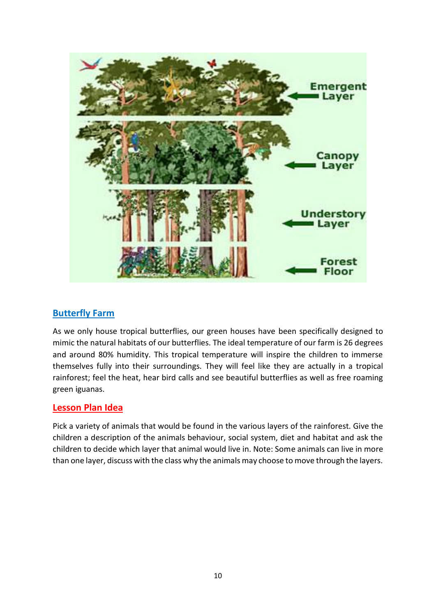

### **Butterfly Farm**

As we only house tropical butterflies, our green houses have been specifically designed to mimic the natural habitats of our butterflies. The ideal temperature of our farm is 26 degrees and around 80% humidity. This tropical temperature will inspire the children to immerse themselves fully into their surroundings. They will feel like they are actually in a tropical rainforest; feel the heat, hear bird calls and see beautiful butterflies as well as free roaming green iguanas.

### **Lesson Plan Idea**

Pick a variety of animals that would be found in the various layers of the rainforest. Give the children a description of the animals behaviour, social system, diet and habitat and ask the children to decide which layer that animal would live in. Note: Some animals can live in more than one layer, discuss with the class why the animals may choose to move through the layers.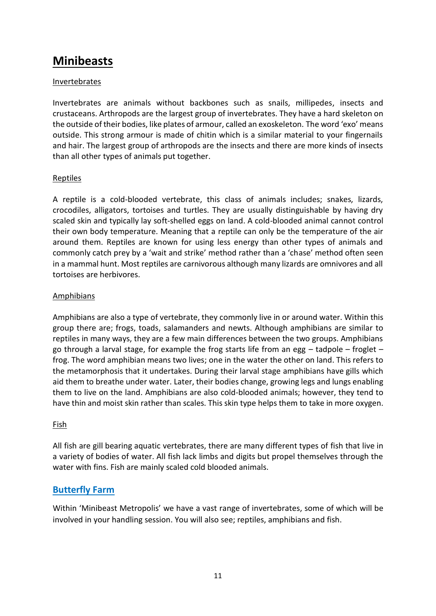## **Minibeasts**

#### Invertebrates

Invertebrates are animals without backbones such as snails, millipedes, insects and crustaceans. Arthropods are the largest group of invertebrates. They have a hard skeleton on the outside of their bodies, like plates of armour, called an exoskeleton. The word 'exo' means outside. This strong armour is made of chitin which is a similar material to your fingernails and hair. The largest group of arthropods are the insects and there are more kinds of insects than all other types of animals put together.

#### Reptiles

A reptile is a cold-blooded vertebrate, this class of animals includes; snakes, lizards, crocodiles, alligators, tortoises and turtles. They are usually distinguishable by having dry scaled skin and typically lay soft-shelled eggs on land. A cold-blooded animal cannot control their own body temperature. Meaning that a reptile can only be the temperature of the air around them. Reptiles are known for using less energy than other types of animals and commonly catch prey by a 'wait and strike' method rather than a 'chase' method often seen in a mammal hunt. Most reptiles are carnivorous although many lizards are omnivores and all tortoises are herbivores.

#### Amphibians

Amphibians are also a type of vertebrate, they commonly live in or around water. Within this group there are; frogs, toads, salamanders and newts. Although amphibians are similar to reptiles in many ways, they are a few main differences between the two groups. Amphibians go through a larval stage, for example the frog starts life from an egg  $-$  tadpole  $-$  froglet  $$ frog. The word amphibian means two lives; one in the water the other on land. This refers to the metamorphosis that it undertakes. During their larval stage amphibians have gills which aid them to breathe under water. Later, their bodies change, growing legs and lungs enabling them to live on the land. Amphibians are also cold-blooded animals; however, they tend to have thin and moist skin rather than scales. This skin type helps them to take in more oxygen.

#### Fish

All fish are gill bearing aquatic vertebrates, there are many different types of fish that live in a variety of bodies of water. All fish lack limbs and digits but propel themselves through the water with fins. Fish are mainly scaled cold blooded animals.

## **Butterfly Farm**

Within 'Minibeast Metropolis' we have a vast range of invertebrates, some of which will be involved in your handling session. You will also see; reptiles, amphibians and fish.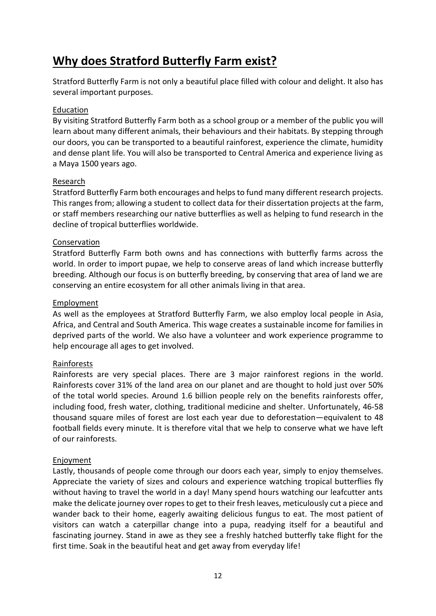## **Why does Stratford Butterfly Farm exist?**

Stratford Butterfly Farm is not only a beautiful place filled with colour and delight. It also has several important purposes.

#### Education

By visiting Stratford Butterfly Farm both as a school group or a member of the public you will learn about many different animals, their behaviours and their habitats. By stepping through our doors, you can be transported to a beautiful rainforest, experience the climate, humidity and dense plant life. You will also be transported to Central America and experience living as a Maya 1500 years ago.

#### Research

Stratford Butterfly Farm both encourages and helps to fund many different research projects. This ranges from; allowing a student to collect data for their dissertation projects at the farm, or staff members researching our native butterflies as well as helping to fund research in the decline of tropical butterflies worldwide.

#### **Conservation**

Stratford Butterfly Farm both owns and has connections with butterfly farms across the world. In order to import pupae, we help to conserve areas of land which increase butterfly breeding. Although our focus is on butterfly breeding, by conserving that area of land we are conserving an entire ecosystem for all other animals living in that area.

#### Employment

As well as the employees at Stratford Butterfly Farm, we also employ local people in Asia, Africa, and Central and South America. This wage creates a sustainable income for families in deprived parts of the world. We also have a volunteer and work experience programme to help encourage all ages to get involved.

#### Rainforests

Rainforests are very special places. There are 3 major rainforest regions in the world. Rainforests cover 31% of the land area on our planet and are thought to hold just over 50% of the total world species. Around 1.6 billion people rely on the benefits rainforests offer, including food, fresh water, clothing, traditional medicine and shelter. Unfortunately, 46-58 thousand square miles of forest are lost each year due to deforestation—equivalent to 48 football fields every minute. It is therefore vital that we help to conserve what we have left of our rainforests.

#### Enjoyment

Lastly, thousands of people come through our doors each year, simply to enjoy themselves. Appreciate the variety of sizes and colours and experience watching tropical butterflies fly without having to travel the world in a day! Many spend hours watching our leafcutter ants make the delicate journey over ropes to get to their fresh leaves, meticulously cut a piece and wander back to their home, eagerly awaiting delicious fungus to eat. The most patient of visitors can watch a caterpillar change into a pupa, readying itself for a beautiful and fascinating journey. Stand in awe as they see a freshly hatched butterfly take flight for the first time. Soak in the beautiful heat and get away from everyday life!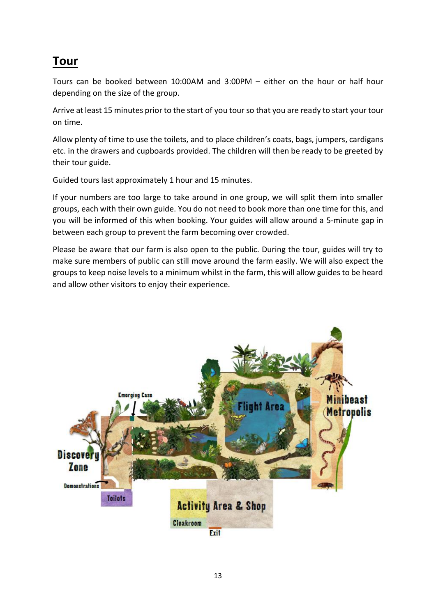## **Tour**

Tours can be booked between 10:00AM and 3:00PM – either on the hour or half hour depending on the size of the group.

Arrive at least 15 minutes prior to the start of you tour so that you are ready to start your tour on time.

Allow plenty of time to use the toilets, and to place children's coats, bags, jumpers, cardigans etc. in the drawers and cupboards provided. The children will then be ready to be greeted by their tour guide.

Guided tours last approximately 1 hour and 15 minutes.

If your numbers are too large to take around in one group, we will split them into smaller groups, each with their own guide. You do not need to book more than one time for this, and you will be informed of this when booking. Your guides will allow around a 5-minute gap in between each group to prevent the farm becoming over crowded.

Please be aware that our farm is also open to the public. During the tour, guides will try to make sure members of public can still move around the farm easily. We will also expect the groups to keep noise levels to a minimum whilst in the farm, this will allow guides to be heard and allow other visitors to enjoy their experience.

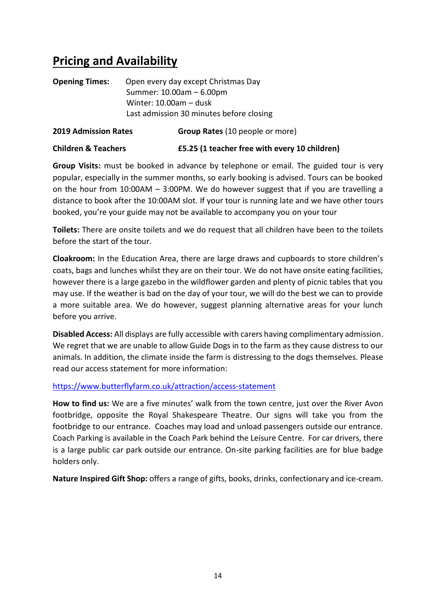## **Pricing and Availability**

| <b>Opening Times:</b>       | Open every day except Christmas Day      |  |
|-----------------------------|------------------------------------------|--|
|                             | Summer: 10.00am - 6.00pm                 |  |
|                             | Winter: $10.00am - dust$                 |  |
|                             | Last admission 30 minutes before closing |  |
| <b>2019 Admission Rates</b> | Group Rates (10 people or more)          |  |

| <b>Children &amp; Teachers</b> | £5.25 (1 teacher free with every 10 children) |
|--------------------------------|-----------------------------------------------|

**Group Visits:** must be booked in advance by telephone or email. The guided tour is very popular, especially in the summer months, so early booking is advised. Tours can be booked on the hour from 10:00AM – 3:00PM. We do however suggest that if you are travelling a distance to book after the 10:00AM slot. If your tour is running late and we have other tours booked, you're your guide may not be available to accompany you on your tour

**Toilets:** There are onsite toilets and we do request that all children have been to the toilets before the start of the tour.

**Cloakroom:** In the Education Area, there are large draws and cupboards to store children's coats, bags and lunches whilst they are on their tour. We do not have onsite eating facilities, however there is a large gazebo in the wildflower garden and plenty of picnic tables that you may use. If the weather is bad on the day of your tour, we will do the best we can to provide a more suitable area. We do however, suggest planning alternative areas for your lunch before you arrive.

**Disabled Access:** All displays are fully accessible with carers having complimentary admission. We regret that we are unable to allow Guide Dogs in to the farm as they cause distress to our animals. In addition, the climate inside the farm is distressing to the dogs themselves. Please read our access statement for more information:

<https://www.butterflyfarm.co.uk/attraction/access-statement>

**How to find us:** We are a five minutes' walk from the town centre, just over the River Avon footbridge, opposite the Royal Shakespeare Theatre. Our signs will take you from the footbridge to our entrance. Coaches may load and unload passengers outside our entrance. Coach Parking is available in the Coach Park behind the Leisure Centre. For car drivers, there is a large public car park outside our entrance. On-site parking facilities are for blue badge holders only.

**Nature Inspired Gift Shop:** offers a range of gifts, books, drinks, confectionary and ice-cream.